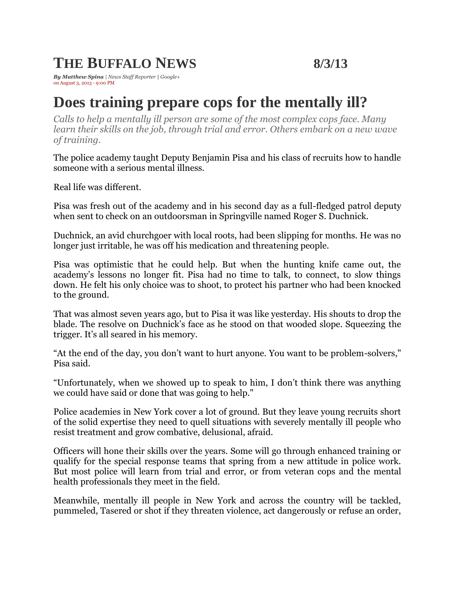# **THE BUFFALO NEWS 8/3/13**

*By [Matthew Spina](mailto:mspina@buffnews.com) | News Staff Reporter | [Google+](https://plus.google.com/103895595615191629767?rel=author)* on August 3, 2013 - 9:00 PM

# **Does training prepare cops for the mentally ill?**

*Calls to help a mentally ill person are some of the most complex cops face. Many learn their skills on the job, through trial and error. Others embark on a new wave of training.* 

The police academy taught Deputy Benjamin Pisa and his class of recruits how to handle someone with a serious mental illness.

Real life was different.

Pisa was fresh out of the academy and in his second day as a full-fledged patrol deputy when sent to check on an outdoorsman in Springville named Roger S. Duchnick.

Duchnick, an avid churchgoer with local roots, had been slipping for months. He was no longer just irritable, he was off his medication and threatening people.

Pisa was optimistic that he could help. But when the hunting knife came out, the academy's lessons no longer fit. Pisa had no time to talk, to connect, to slow things down. He felt his only choice was to shoot, to protect his partner who had been knocked to the ground.

That was almost seven years ago, but to Pisa it was like yesterday. His shouts to drop the blade. The resolve on Duchnick's face as he stood on that wooded slope. Squeezing the trigger. It's all seared in his memory.

"At the end of the day, you don't want to hurt anyone. You want to be problem-solvers," Pisa said.

"Unfortunately, when we showed up to speak to him, I don't think there was anything we could have said or done that was going to help."

Police academies in New York cover a lot of ground. But they leave young recruits short of the solid expertise they need to quell situations with severely mentally ill people who resist treatment and grow combative, delusional, afraid.

Officers will hone their skills over the years. Some will go through enhanced training or qualify for the special response teams that spring from a new attitude in police work. But most police will learn from trial and error, or from veteran cops and the mental health professionals they meet in the field.

Meanwhile, mentally ill people in New York and across the country will be tackled, pummeled, Tasered or shot if they threaten violence, act dangerously or refuse an order,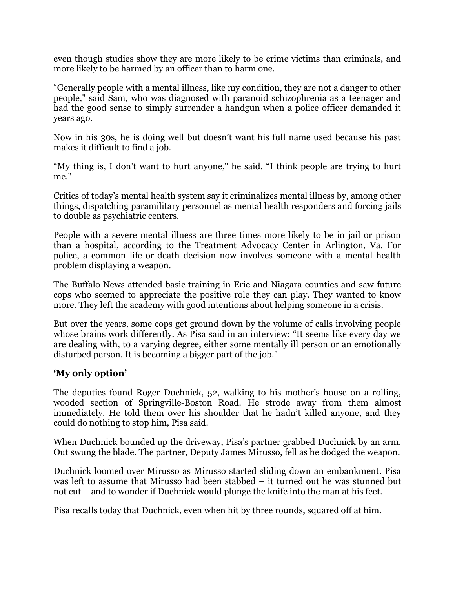even though studies show they are more likely to be crime victims than criminals, and more likely to be harmed by an officer than to harm one.

"Generally people with a mental illness, like my condition, they are not a danger to other people," said Sam, who was diagnosed with paranoid schizophrenia as a teenager and had the good sense to simply surrender a handgun when a police officer demanded it years ago.

Now in his 30s, he is doing well but doesn't want his full name used because his past makes it difficult to find a job.

"My thing is, I don't want to hurt anyone," he said. "I think people are trying to hurt me."

Critics of today's mental health system say it criminalizes mental illness by, among other things, dispatching paramilitary personnel as mental health responders and forcing jails to double as psychiatric centers.

People with a severe mental illness are three times more likely to be in jail or prison than a hospital, according to the Treatment Advocacy Center in Arlington, Va. For police, a common life-or-death decision now involves someone with a mental health problem displaying a weapon.

The Buffalo News attended basic training in Erie and Niagara counties and saw future cops who seemed to appreciate the positive role they can play. They wanted to know more. They left the academy with good intentions about helping someone in a crisis.

But over the years, some cops get ground down by the volume of calls involving people whose brains work differently. As Pisa said in an interview: "It seems like every day we are dealing with, to a varying degree, either some mentally ill person or an emotionally disturbed person. It is becoming a bigger part of the job."

## **'My only option'**

The deputies found Roger Duchnick, 52, walking to his mother's house on a rolling, wooded section of Springville-Boston Road. He strode away from them almost immediately. He told them over his shoulder that he hadn't killed anyone, and they could do nothing to stop him, Pisa said.

When Duchnick bounded up the driveway, Pisa's partner grabbed Duchnick by an arm. Out swung the blade. The partner, Deputy James Mirusso, fell as he dodged the weapon.

Duchnick loomed over Mirusso as Mirusso started sliding down an embankment. Pisa was left to assume that Mirusso had been stabbed – it turned out he was stunned but not cut – and to wonder if Duchnick would plunge the knife into the man at his feet.

Pisa recalls today that Duchnick, even when hit by three rounds, squared off at him.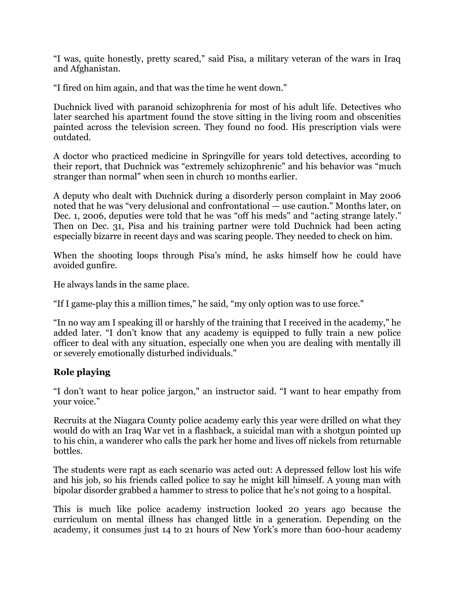"I was, quite honestly, pretty scared," said Pisa, a military veteran of the wars in Iraq and Afghanistan.

"I fired on him again, and that was the time he went down."

Duchnick lived with paranoid schizophrenia for most of his adult life. Detectives who later searched his apartment found the stove sitting in the living room and obscenities painted across the television screen. They found no food. His prescription vials were outdated.

A doctor who practiced medicine in Springville for years told detectives, according to their report, that Duchnick was "extremely schizophrenic" and his behavior was "much stranger than normal" when seen in church 10 months earlier.

A deputy who dealt with Duchnick during a disorderly person complaint in May 2006 noted that he was "very delusional and confrontational — use caution." Months later, on Dec. 1, 2006, deputies were told that he was "off his meds" and "acting strange lately." Then on Dec. 31, Pisa and his training partner were told Duchnick had been acting especially bizarre in recent days and was scaring people. They needed to check on him.

When the shooting loops through Pisa's mind, he asks himself how he could have avoided gunfire.

He always lands in the same place.

"If I game-play this a million times," he said, "my only option was to use force."

"In no way am I speaking ill or harshly of the training that I received in the academy," he added later. "I don't know that any academy is equipped to fully train a new police officer to deal with any situation, especially one when you are dealing with mentally ill or severely emotionally disturbed individuals."

## **Role playing**

"I don't want to hear police jargon," an instructor said. "I want to hear empathy from your voice."

Recruits at the Niagara County police academy early this year were drilled on what they would do with an Iraq War vet in a flashback, a suicidal man with a shotgun pointed up to his chin, a wanderer who calls the park her home and lives off nickels from returnable bottles.

The students were rapt as each scenario was acted out: A depressed fellow lost his wife and his job, so his friends called police to say he might kill himself. A young man with bipolar disorder grabbed a hammer to stress to police that he's not going to a hospital.

This is much like police academy instruction looked 20 years ago because the curriculum on mental illness has changed little in a generation. Depending on the academy, it consumes just 14 to 21 hours of New York's more than 600-hour academy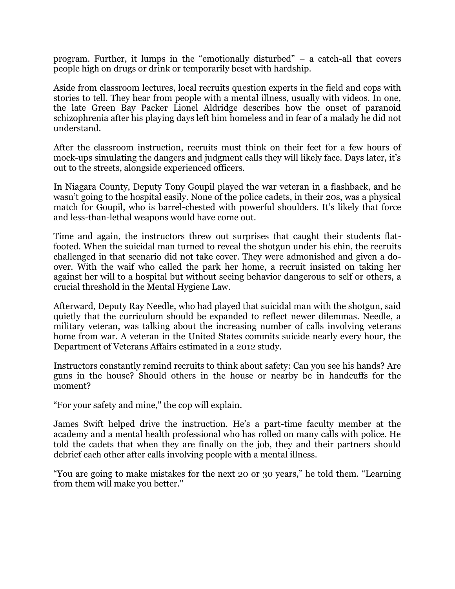program. Further, it lumps in the "emotionally disturbed" – a catch-all that covers people high on drugs or drink or temporarily beset with hardship.

Aside from classroom lectures, local recruits question experts in the field and cops with stories to tell. They hear from people with a mental illness, usually with videos. In one, the late Green Bay Packer Lionel Aldridge describes how the onset of paranoid schizophrenia after his playing days left him homeless and in fear of a malady he did not understand.

After the classroom instruction, recruits must think on their feet for a few hours of mock-ups simulating the dangers and judgment calls they will likely face. Days later, it's out to the streets, alongside experienced officers.

In Niagara County, Deputy Tony Goupil played the war veteran in a flashback, and he wasn't going to the hospital easily. None of the police cadets, in their 20s, was a physical match for Goupil, who is barrel-chested with powerful shoulders. It's likely that force and less-than-lethal weapons would have come out.

Time and again, the instructors threw out surprises that caught their students flatfooted. When the suicidal man turned to reveal the shotgun under his chin, the recruits challenged in that scenario did not take cover. They were admonished and given a doover. With the waif who called the park her home, a recruit insisted on taking her against her will to a hospital but without seeing behavior dangerous to self or others, a crucial threshold in the Mental Hygiene Law.

Afterward, Deputy Ray Needle, who had played that suicidal man with the shotgun, said quietly that the curriculum should be expanded to reflect newer dilemmas. Needle, a military veteran, was talking about the increasing number of calls involving veterans home from war. A veteran in the United States commits suicide nearly every hour, the Department of Veterans Affairs estimated in a 2012 study.

Instructors constantly remind recruits to think about safety: Can you see his hands? Are guns in the house? Should others in the house or nearby be in handcuffs for the moment?

"For your safety and mine," the cop will explain.

James Swift helped drive the instruction. He's a part-time faculty member at the academy and a mental health professional who has rolled on many calls with police. He told the cadets that when they are finally on the job, they and their partners should debrief each other after calls involving people with a mental illness.

"You are going to make mistakes for the next 20 or 30 years," he told them. "Learning from them will make you better."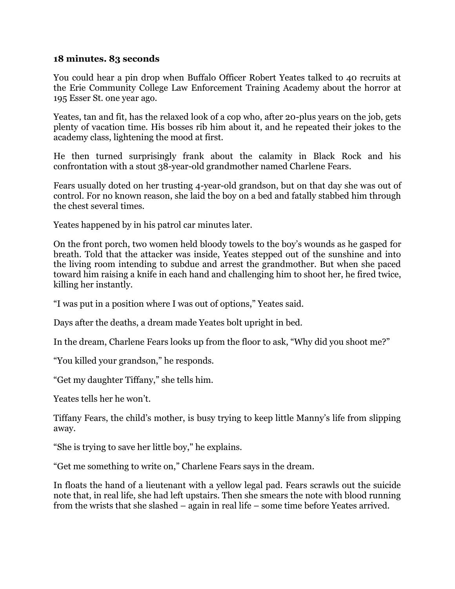#### **18 minutes. 83 seconds**

You could hear a pin drop when Buffalo Officer Robert Yeates talked to 40 recruits at the Erie Community College Law Enforcement Training Academy about the horror at 195 Esser St. one year ago.

Yeates, tan and fit, has the relaxed look of a cop who, after 20-plus years on the job, gets plenty of vacation time. His bosses rib him about it, and he repeated their jokes to the academy class, lightening the mood at first.

He then turned surprisingly frank about the calamity in Black Rock and his confrontation with a stout 38-year-old grandmother named Charlene Fears.

Fears usually doted on her trusting 4-year-old grandson, but on that day she was out of control. For no known reason, she laid the boy on a bed and fatally stabbed him through the chest several times.

Yeates happened by in his patrol car minutes later.

On the front porch, two women held bloody towels to the boy's wounds as he gasped for breath. Told that the attacker was inside, Yeates stepped out of the sunshine and into the living room intending to subdue and arrest the grandmother. But when she paced toward him raising a knife in each hand and challenging him to shoot her, he fired twice, killing her instantly.

"I was put in a position where I was out of options," Yeates said.

Days after the deaths, a dream made Yeates bolt upright in bed.

In the dream, Charlene Fears looks up from the floor to ask, "Why did you shoot me?"

"You killed your grandson," he responds.

"Get my daughter Tiffany," she tells him.

Yeates tells her he won't.

Tiffany Fears, the child's mother, is busy trying to keep little Manny's life from slipping away.

"She is trying to save her little boy," he explains.

"Get me something to write on," Charlene Fears says in the dream.

In floats the hand of a lieutenant with a yellow legal pad. Fears scrawls out the suicide note that, in real life, she had left upstairs. Then she smears the note with blood running from the wrists that she slashed – again in real life – some time before Yeates arrived.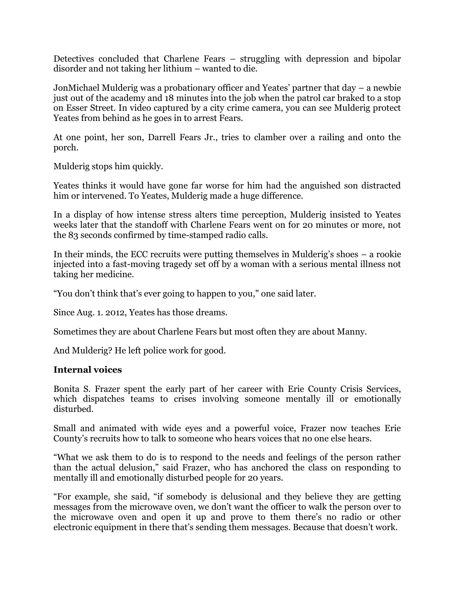Detectives concluded that Charlene Fears – struggling with depression and bipolar disorder and not taking her lithium – wanted to die.

JonMichael Mulderig was a probationary officer and Yeates' partner that day – a newbie just out of the academy and 18 minutes into the job when the patrol car braked to a stop on Esser Street. In video captured by a city crime camera, you can see Mulderig protect Yeates from behind as he goes in to arrest Fears.

At one point, her son, Darrell Fears Jr., tries to clamber over a railing and onto the porch.

Mulderig stops him quickly.

Yeates thinks it would have gone far worse for him had the anguished son distracted him or intervened. To Yeates, Mulderig made a huge difference.

In a display of how intense stress alters time perception, Mulderig insisted to Yeates weeks later that the standoff with Charlene Fears went on for 20 minutes or more, not the 83 seconds confirmed by time-stamped radio calls.

In their minds, the ECC recruits were putting themselves in Mulderig's shoes – a rookie injected into a fast-moving tragedy set off by a woman with a serious mental illness not taking her medicine.

"You don't think that's ever going to happen to you," one said later.

Since Aug. 1. 2012, Yeates has those dreams.

Sometimes they are about Charlene Fears but most often they are about Manny.

And Mulderig? He left police work for good.

#### **Internal voices**

Bonita S. Frazer spent the early part of her career with Erie County Crisis Services, which dispatches teams to crises involving someone mentally ill or emotionally disturbed.

Small and animated with wide eyes and a powerful voice, Frazer now teaches Erie County's recruits how to talk to someone who hears voices that no one else hears.

"What we ask them to do is to respond to the needs and feelings of the person rather than the actual delusion," said Frazer, who has anchored the class on responding to mentally ill and emotionally disturbed people for 20 years.

"For example, she said, "if somebody is delusional and they believe they are getting messages from the microwave oven, we don't want the officer to walk the person over to the microwave oven and open it up and prove to them there's no radio or other electronic equipment in there that's sending them messages. Because that doesn't work.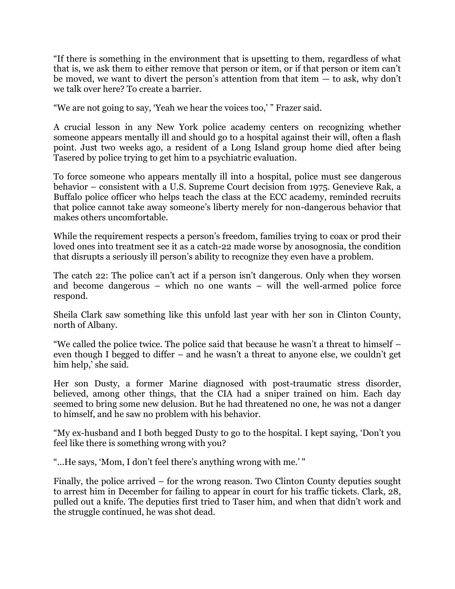"If there is something in the environment that is upsetting to them, regardless of what that is, we ask them to either remove that person or item, or if that person or item can't be moved, we want to divert the person's attention from that item  $-$  to ask, why don't we talk over here? To create a barrier.

"We are not going to say, 'Yeah we hear the voices too,' " Frazer said.

A crucial lesson in any New York police academy centers on recognizing whether someone appears mentally ill and should go to a hospital against their will, often a flash point. Just two weeks ago, a resident of a Long Island group home died after being Tasered by police trying to get him to a psychiatric evaluation.

To force someone who appears mentally ill into a hospital, police must see dangerous behavior – consistent with a U.S. Supreme Court decision from 1975. Genevieve Rak, a Buffalo police officer who helps teach the class at the ECC academy, reminded recruits that police cannot take away someone's liberty merely for non-dangerous behavior that makes others uncomfortable.

While the requirement respects a person's freedom, families trying to coax or prod their loved ones into treatment see it as a catch-22 made worse by anosognosia, the condition that disrupts a seriously ill person's ability to recognize they even have a problem.

The catch 22: The police can't act if a person isn't dangerous. Only when they worsen and become dangerous – which no one wants – will the well-armed police force respond.

Sheila Clark saw something like this unfold last year with her son in Clinton County, north of Albany.

"We called the police twice. The police said that because he wasn't a threat to himself – even though I begged to differ – and he wasn't a threat to anyone else, we couldn't get him help,' she said.

Her son Dusty, a former Marine diagnosed with post-traumatic stress disorder, believed, among other things, that the CIA had a sniper trained on him. Each day seemed to bring some new delusion. But he had threatened no one, he was not a danger to himself, and he saw no problem with his behavior.

"My ex-husband and I both begged Dusty to go to the hospital. I kept saying, 'Don't you feel like there is something wrong with you?

"...He says, 'Mom, I don't feel there's anything wrong with me.' "

Finally, the police arrived – for the wrong reason. Two Clinton County deputies sought to arrest him in December for failing to appear in court for his traffic tickets. Clark, 28, pulled out a knife. The deputies first tried to Taser him, and when that didn't work and the struggle continued, he was shot dead.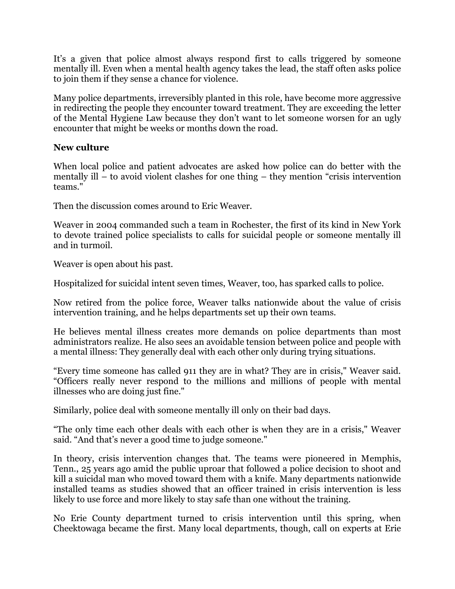It's a given that police almost always respond first to calls triggered by someone mentally ill. Even when a mental health agency takes the lead, the staff often asks police to join them if they sense a chance for violence.

Many police departments, irreversibly planted in this role, have become more aggressive in redirecting the people they encounter toward treatment. They are exceeding the letter of the Mental Hygiene Law because they don't want to let someone worsen for an ugly encounter that might be weeks or months down the road.

### **New culture**

When local police and patient advocates are asked how police can do better with the mentally ill – to avoid violent clashes for one thing – they mention "crisis intervention teams."

Then the discussion comes around to Eric Weaver.

Weaver in 2004 commanded such a team in Rochester, the first of its kind in New York to devote trained police specialists to calls for suicidal people or someone mentally ill and in turmoil.

Weaver is open about his past.

Hospitalized for suicidal intent seven times, Weaver, too, has sparked calls to police.

Now retired from the police force, Weaver talks nationwide about the value of crisis intervention training, and he helps departments set up their own teams.

He believes mental illness creates more demands on police departments than most administrators realize. He also sees an avoidable tension between police and people with a mental illness: They generally deal with each other only during trying situations.

"Every time someone has called 911 they are in what? They are in crisis," Weaver said. "Officers really never respond to the millions and millions of people with mental illnesses who are doing just fine."

Similarly, police deal with someone mentally ill only on their bad days.

"The only time each other deals with each other is when they are in a crisis," Weaver said. "And that's never a good time to judge someone."

In theory, crisis intervention changes that. The teams were pioneered in Memphis, Tenn., 25 years ago amid the public uproar that followed a police decision to shoot and kill a suicidal man who moved toward them with a knife. Many departments nationwide installed teams as studies showed that an officer trained in crisis intervention is less likely to use force and more likely to stay safe than one without the training.

No Erie County department turned to crisis intervention until this spring, when Cheektowaga became the first. Many local departments, though, call on experts at Erie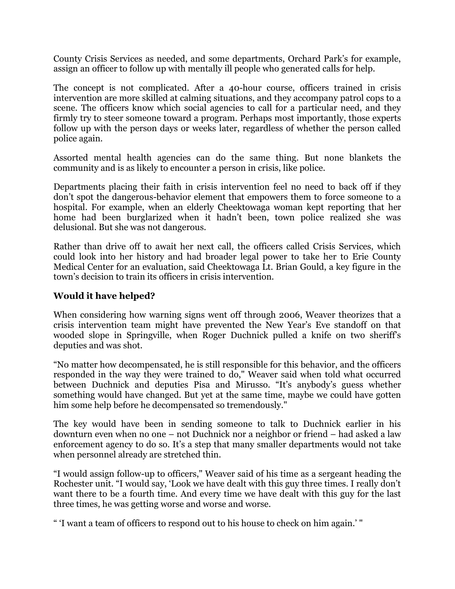County Crisis Services as needed, and some departments, Orchard Park's for example, assign an officer to follow up with mentally ill people who generated calls for help.

The concept is not complicated. After a 40-hour course, officers trained in crisis intervention are more skilled at calming situations, and they accompany patrol cops to a scene. The officers know which social agencies to call for a particular need, and they firmly try to steer someone toward a program. Perhaps most importantly, those experts follow up with the person days or weeks later, regardless of whether the person called police again.

Assorted mental health agencies can do the same thing. But none blankets the community and is as likely to encounter a person in crisis, like police.

Departments placing their faith in crisis intervention feel no need to back off if they don't spot the dangerous-behavior element that empowers them to force someone to a hospital. For example, when an elderly Cheektowaga woman kept reporting that her home had been burglarized when it hadn't been, town police realized she was delusional. But she was not dangerous.

Rather than drive off to await her next call, the officers called Crisis Services, which could look into her history and had broader legal power to take her to Erie County Medical Center for an evaluation, said Cheektowaga Lt. Brian Gould, a key figure in the town's decision to train its officers in crisis intervention.

#### **Would it have helped?**

When considering how warning signs went off through 2006, Weaver theorizes that a crisis intervention team might have prevented the New Year's Eve standoff on that wooded slope in Springville, when Roger Duchnick pulled a knife on two sheriff's deputies and was shot.

"No matter how decompensated, he is still responsible for this behavior, and the officers responded in the way they were trained to do," Weaver said when told what occurred between Duchnick and deputies Pisa and Mirusso. "It's anybody's guess whether something would have changed. But yet at the same time, maybe we could have gotten him some help before he decompensated so tremendously."

The key would have been in sending someone to talk to Duchnick earlier in his downturn even when no one – not Duchnick nor a neighbor or friend – had asked a law enforcement agency to do so. It's a step that many smaller departments would not take when personnel already are stretched thin.

"I would assign follow-up to officers," Weaver said of his time as a sergeant heading the Rochester unit. "I would say, 'Look we have dealt with this guy three times. I really don't want there to be a fourth time. And every time we have dealt with this guy for the last three times, he was getting worse and worse and worse.

" 'I want a team of officers to respond out to his house to check on him again.' "